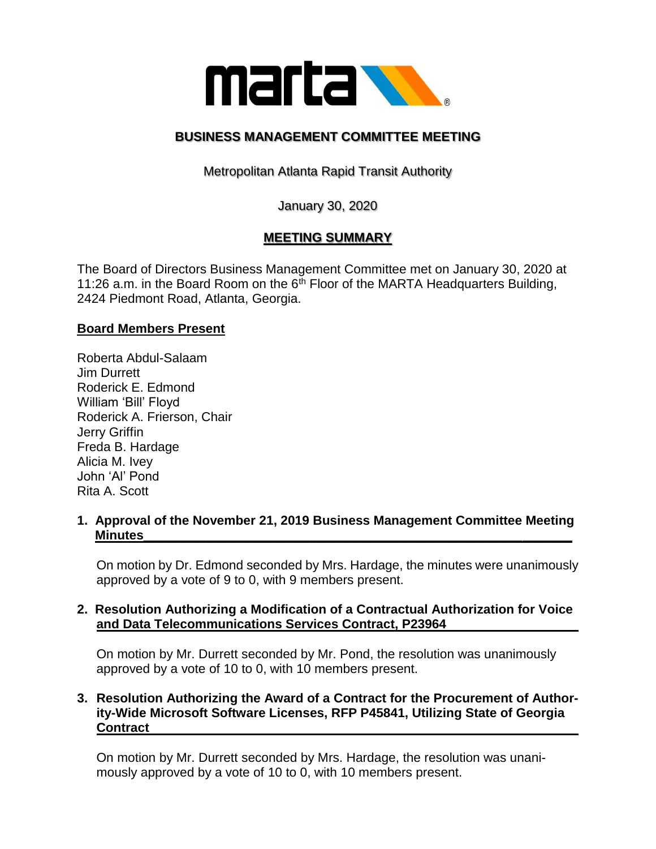

# **BUSINESS MANAGEMENT COMMITTEE MEETING**

Metropolitan Atlanta Rapid Transit Authority

January 30, 2020

## **MEETING SUMMARY**

The Board of Directors Business Management Committee met on January 30, 2020 at 11:26 a.m. in the Board Room on the  $6<sup>th</sup>$  Floor of the MARTA Headquarters Building, 2424 Piedmont Road, Atlanta, Georgia.

#### **Board Members Present**

Roberta Abdul-Salaam Jim Durrett Roderick E. Edmond William 'Bill' Floyd Roderick A. Frierson, Chair Jerry Griffin Freda B. Hardage Alicia M. Ivey John 'Al' Pond Rita A. Scott

**1. Approval of the November 21, 2019 Business Management Committee Meeting Minutes\_\_\_\_\_\_\_\_\_\_\_\_\_\_\_\_\_\_\_\_\_\_\_\_\_\_\_\_\_\_\_\_\_\_\_\_\_\_\_\_\_\_\_\_\_\_\_\_\_\_\_\_\_\_\_\_\_\_\_\_**

On motion by Dr. Edmond seconded by Mrs. Hardage, the minutes were unanimously approved by a vote of 9 to 0, with 9 members present.

### **2. Resolution Authorizing a Modification of a Contractual Authorization for Voice and Data Telecommunications Services Contract, P23964**

On motion by Mr. Durrett seconded by Mr. Pond, the resolution was unanimously approved by a vote of 10 to 0, with 10 members present.

### **3. Resolution Authorizing the Award of a Contract for the Procurement of Authority-Wide Microsoft Software Licenses, RFP P45841, Utilizing State of Georgia Contract**

On motion by Mr. Durrett seconded by Mrs. Hardage, the resolution was unanimously approved by a vote of 10 to 0, with 10 members present.